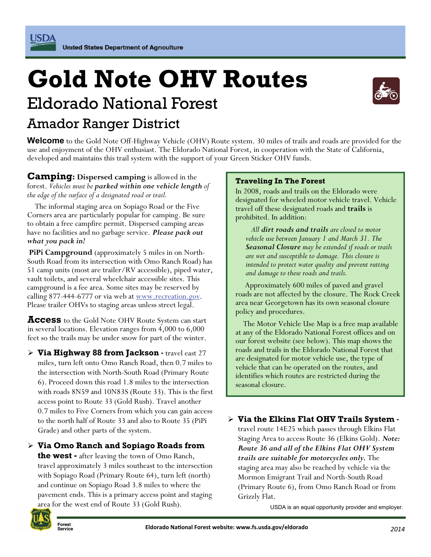USDA

# **Gold Note OHV Routes**  Eldorado National Forest Amador Ranger District



**Welcome** to the Gold Note Off-Highway Vehicle (OHV) Route system. 30 miles of trails and roads are provided for the use and enjoyment of the OHV enthusiast. The Eldorado National Forest, in cooperation with the State of California, developed and maintains this trail system with the support of your Green Sticker OHV funds.

**Camping: Dispersed camping** is allowed in the forest. *Vehicles must be parked within one vehicle length of the edge of the surface of a designated road or trail.* 

 The informal staging area on Sopiago Road or the Five Corners area are particularly popular for camping. Be sure to obtain a free campfire permit. Dispersed camping areas have no facilities and no garbage service. *Please pack out what you pack in!* 

**PiPi Campground** (approximately 5 miles in on North-South Road from its intersection with Omo Ranch Road) has 51 camp units (most are trailer/RV accessible), piped water, vault toilets, and several wheelchair accessible sites. This campground is a fee area. Some sites may be reserved by calling 877-444-6777 or via web at <u>www.recreation.gov</u>. Please trailer OHVs to staging areas unless street legal.

**Access** to the Gold Note OHV Route System can start in several locations. Elevation ranges from 4,000 to 6,000 feet so the trails may be under snow for part of the winter.

**Via Highway 88 from Jackson** - travel east 27 miles, turn left onto Omo Ranch Road, then 0.7 miles to the intersection with North-South Road (Primary Route 6). Proceed down this road 1.8 miles to the intersection with roads 8N59 and 10N83S (Route 33). This is the first access point to Route 33 (Gold Rush). Travel another 0.7 miles to Five Corners from which you can gain access to the north half of Route 33 and also to Route 35 (PiPi Grade) and other parts of the system.

**Via Omo Ranch and Sopiago Roads from** 

**the west -** after leaving the town of Omo Ranch, travel approximately 3 miles southeast to the intersection with Sopiago Road (Primary Route 64), turn left (north) and continue on Sopiago Road 3.8 miles to where the pavement ends. This is a primary access point and staging area for the west end of Route 33 (Gold Rush).



## **Forest**

#### **Traveling In The Forest**

In 2008, roads and trails on the Eldorado were designated for wheeled motor vehicle travel. Vehicle travel off these designated roads and **trails** is prohibited. In addition:

 *All dirt roads and trails are closed to motor vehicle use between January 1 and March 31. The Seasonal Closure may be extended if roads or trails are wet and susceptible to damage. This closure is intended to protect water quality and prevent rutting and damage to these roads and trails.* 

 Approximately 600 miles of paved and gravel roads are not affected by the closure. The Rock Creek area near Georgetown has its own seasonal closure policy and procedures.

 The Motor Vehicle Use Map is a free map available at any of the Eldorado National Forest offices and on our forest website (see below). This map shows the roads and trails in the Eldorado National Forest that are designated for motor vehicle use, the type of vehicle that can be operated on the routes, and identifies which routes are restricted during the seasonal closure.

**Via the Elkins Flat OHV Trails System** -

travel route 14E25 which passes through Elkins Flat Staging Area to access Route 36 (Elkins Gold). *Note: Route 36 and all of the Elkins Flat OHV System trails are suitable for motorcycles only.* The staging area may also be reached by vehicle via the Mormon Emigrant Trail and North-South Road (Primary Route 6), from Omo Ranch Road or from Grizzly Flat.

USDA is an equal opportunity provider and employer.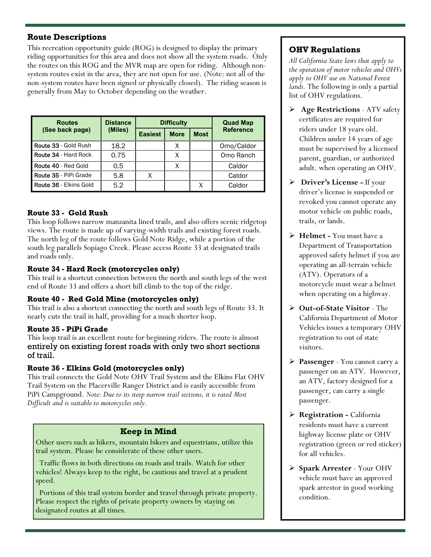#### **Route Descriptions**

This recreation opportunity guide (ROG) is designed to display the primary riding opportunities for this area and does not show all the system roads. Only the routes on this ROG and the MVR map are open for riding. Although nonsystem routes exist in the area, they are not open for use. (Note: not all of the non-system routes have been signed or physically closed). The riding season is generally from May to October depending on the weather.

| <b>Routes</b><br>(See back page) | <b>Distance</b><br>(Miles) | <b>Difficulty</b> |             |             | <b>Quad Map</b>  |
|----------------------------------|----------------------------|-------------------|-------------|-------------|------------------|
|                                  |                            | <b>Easiest</b>    | <b>More</b> | <b>Most</b> | <b>Reference</b> |
| Route 33 - Gold Rush             | 18.2                       |                   | Χ           |             | Omo/Caldor       |
| Route 34 - Hard Rock             | 0.75                       |                   | χ           |             | Omo Ranch        |
| Route 40 - Red Gold              | 0.5                        |                   |             |             | Caldor           |
| Route 35 - PiPi Grade            | 5.8                        | Χ                 |             |             | Caldor           |
| <b>Route 36 - Elkins Gold</b>    | 5.2                        |                   |             | Χ           | Caldor           |

#### **Route 33 - Gold Rush**

This loop follows narrow manzanita lined trails, and also offers scenic ridgetop views. The route is made up of varying-width trails and existing forest roads. The north leg of the route follows Gold Note Ridge, while a portion of the south leg parallels Sopiago Creek. Please access Route 33 at designated trails and roads only.

#### **Route 34 - Hard Rock (motorcycles only)**

This trail is a shortcut connection between the north and south legs of the west end of Route 33 and offers a short hill climb to the top of the ridge.

#### **Route 40 - Red Gold Mine (motorcycles only)**

This trail is also a shortcut connecting the north and south legs of Route 33. It nearly cuts the trail in half, providing for a much shorter loop.

#### **Route 35 - PiPi Grade**

This loop trail is an excellent route for beginning riders. The route is almost entirely on existing forest roads with only two short sections of trail.

#### **Route 36 - Elkins Gold (motorcycles only)**

This trail connects the Gold Note OHV Trail System and the Elkins Flat OHV Trail System on the Placerville Ranger District and is easily accessible from PiPi Campground. *Note: Due to its steep narrow trail sections, it is rated Most Difficult and is suitable to motorcycles only.* 

#### **Keep in Mind**

Other users such as hikers, mountain bikers and equestrians, utilize this trail system. Please be considerate of these other users.

 Traffic flows in both directions on roads and trails. Watch for other vehicles! Always keep to the right, be cautious and travel at a prudent speed.

 Portions of this trail system border and travel through private property. Please respect the rights of private property owners by staying on designated routes at all times.

### **OHV Regulations**

*All California State laws that apply to the operation of motor vehicles and OHVs apply to OHV use on National Forest lands.* The following is only a partial list of OHV regulations.

- **Age Restrictions** ATV safety certificates are required for riders under 18 years old. Children under 14 years of age must be supervised by a licensed parent, guardian, or authorized adult. when operating an OHV.
- **Driver's License -** If your driver's license is suspended or revoked you cannot operate any motor vehicle on public roads, trails, or lands.
- **Helmet** You must have a Department of Transportation approved safety helmet if you are operating an all-terrain vehicle (ATV). Operators of a motorcycle must wear a helmet when operating on a highway.
- **Out-of-State Visitor** The California Department of Motor Vehicles issues a temporary OHV registration to out of state visitors.
- **Passenger** You cannot carry a passenger on an ATV. However, an ATV, factory designed for a passenger, can carry a single passenger.
- **Registration** California residents must have a current highway license plate or OHV registration (green or red sticker) for all vehicles.
- **Spark Arrester** Your OHV vehicle must have an approved spark arrestor in good working condition.